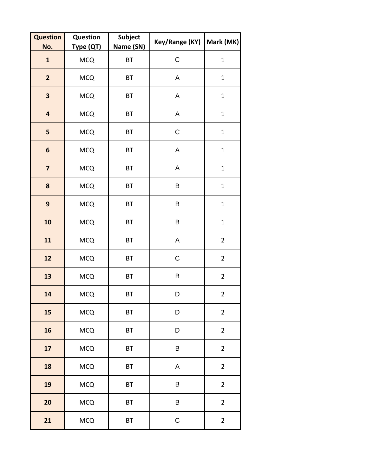| <b>Question</b><br>No.  | Question<br>Type (QT) | <b>Subject</b><br>Name (SN) | Key/Range (KY) | Mark (MK)      |
|-------------------------|-----------------------|-----------------------------|----------------|----------------|
| $\mathbf{1}$            | <b>MCQ</b>            | BT                          | $\mathsf C$    | $\mathbf 1$    |
| $\overline{\mathbf{2}}$ | <b>MCQ</b>            | BT                          | A              | $\mathbf 1$    |
| $\overline{\mathbf{3}}$ | <b>MCQ</b>            | BT                          | A              | $\mathbf{1}$   |
| $\overline{\mathbf{4}}$ | <b>MCQ</b>            | BT                          | A              | $\mathbf 1$    |
| 5                       | <b>MCQ</b>            | BT                          | $\mathsf C$    | $\mathbf 1$    |
| 6                       | <b>MCQ</b>            | BT                          | A              | $\mathbf 1$    |
| $\overline{\mathbf{z}}$ | <b>MCQ</b>            | BT                          | A              | $\mathbf{1}$   |
| 8                       | <b>MCQ</b>            | BT                          | B              | $\mathbf{1}$   |
| $\mathbf{9}$            | <b>MCQ</b>            | BT                          | B              | $\mathbf{1}$   |
| 10                      | <b>MCQ</b>            | ВT                          | B              | $\mathbf{1}$   |
| 11                      | <b>MCQ</b>            | BT                          | A              | $\overline{2}$ |
| 12                      | <b>MCQ</b>            | ВT                          | $\mathsf C$    | $\overline{2}$ |
| 13                      | <b>MCQ</b>            | BT                          | B              | $\overline{2}$ |
| 14                      | <b>MCQ</b>            | BT                          | D              | $\overline{2}$ |
| 15                      | <b>MCQ</b>            | BT                          | D              | $\overline{2}$ |
| 16                      | <b>MCQ</b>            | BT                          | D              | $\overline{2}$ |
| 17                      | <b>MCQ</b>            | BT                          | B              | $\overline{2}$ |
| 18                      | <b>MCQ</b>            | BT                          | A              | $\overline{2}$ |
| 19                      | <b>MCQ</b>            | BT                          | B              | $\overline{2}$ |
| 20                      | <b>MCQ</b>            | BT                          | B              | $\overline{2}$ |
| 21                      | <b>MCQ</b>            | BT                          | $\mathsf C$    | $\overline{2}$ |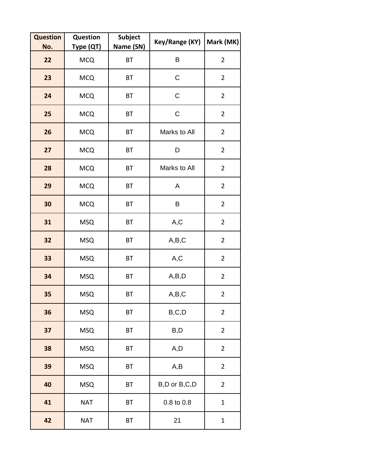| <b>Question</b><br>No. | Question<br><u> Туре (QT)</u> | <b>Subject</b><br>Name (SN) | Key/Range (KY)                     | Mark (MK)      |
|------------------------|-------------------------------|-----------------------------|------------------------------------|----------------|
| 22                     | <b>MCQ</b>                    | BT                          | B                                  | $\overline{2}$ |
| 23                     | <b>MCQ</b>                    | BT                          | $\mathsf C$                        | $\overline{2}$ |
| 24                     | <b>MCQ</b>                    | <b>BT</b>                   | $\mathsf C$                        | $\overline{2}$ |
| 25                     | <b>MCQ</b>                    | BT                          | $\mathsf C$                        | $\overline{2}$ |
| 26                     | <b>MCQ</b>                    | BT                          | Marks to All                       | $\overline{2}$ |
| 27                     | <b>MCQ</b>                    | BT                          | D                                  | $\overline{2}$ |
| 28                     | <b>MCQ</b>                    | BT                          | Marks to All                       | $\overline{2}$ |
| 29                     | <b>MCQ</b>                    | BT                          | A                                  | $\overline{2}$ |
| 30                     | <b>MCQ</b>                    | <b>BT</b>                   | B                                  | $\overline{2}$ |
| 31                     | <b>MSQ</b>                    | BT                          | A,C                                | $\overline{2}$ |
| 32                     | <b>MSQ</b>                    | <b>BT</b>                   | A,B,C                              | $\overline{2}$ |
| 33                     | <b>MSQ</b>                    | BT                          | A,C                                | $\overline{2}$ |
| 34                     | <b>MSQ</b>                    | BT                          | A,B,D                              | $\overline{2}$ |
| 35                     | <b>MSQ</b>                    | BT                          | A,B,C                              | $\overline{2}$ |
| 36                     | <b>MSQ</b>                    | <b>BT</b>                   | $\mathsf{B},\mathsf{C},\mathsf{D}$ | $\overline{2}$ |
| 37                     | <b>MSQ</b>                    | <b>BT</b>                   | B,D                                | $\overline{2}$ |
| 38                     | <b>MSQ</b>                    | BT                          | A, D                               | $\overline{2}$ |
| 39                     | <b>MSQ</b>                    | <b>BT</b>                   | A, B                               | $\overline{2}$ |
| 40                     | <b>MSQ</b>                    | BT                          | B,D or B,C,D                       | $\overline{2}$ |
| 41                     | <b>NAT</b>                    | BT                          | 0.8 to 0.8                         | $\mathbf{1}$   |
| 42                     | <b>NAT</b>                    | BT                          | 21                                 | $\mathbf{1}$   |